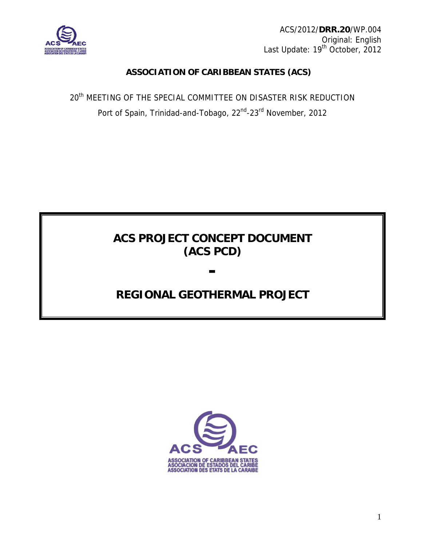

ACS/2012/**DRR.20**/WP.004 Original: English Last Update: 19<sup>th</sup> October, 2012

# **ASSOCIATION OF CARIBBEAN STATES (ACS)**

20<sup>th</sup> MEETING OF THE SPECIAL COMMITTEE ON DISASTER RISK REDUCTION Port of Spain, Trinidad-and-Tobago, 22<sup>nd</sup>-23<sup>rd</sup> November, 2012

# **ACS PROJECT CONCEPT DOCUMENT (ACS PCD)**

**-** 

# **REGIONAL GEOTHERMAL PROJECT**

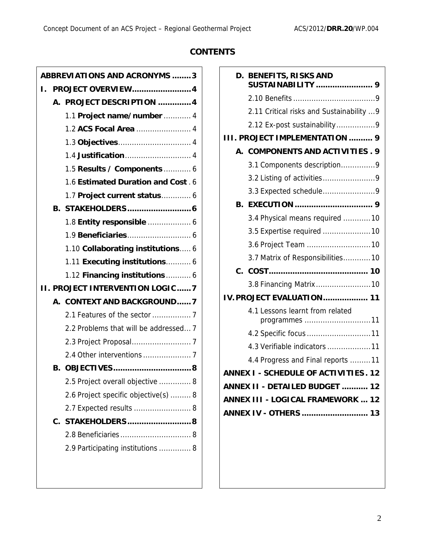# **CONTENTS**

|    |    | <b>ABBREVIATIONS AND ACRONYMS 3</b>    |
|----|----|----------------------------------------|
| ι. |    | <b>PROJECT OVERVIEW 4</b>              |
|    |    | A. PROJECT DESCRIPTION  4              |
|    |    | 1.1 Project name/number  4             |
|    |    | 1.2 ACS Focal Area  4                  |
|    |    |                                        |
|    |    |                                        |
|    |    | 1.5 Results / Components  6            |
|    |    | 1.6 Estimated Duration and Cost . 6    |
|    |    | 1.7 Project current status 6           |
|    |    |                                        |
|    |    | 1.8 Entity responsible  6              |
|    |    |                                        |
|    |    | 1.10 Collaborating institutions 6      |
|    |    | 1.11 Executing institutions 6          |
|    |    | 1.12 Financing institutions  6         |
|    |    |                                        |
|    |    | <b>II. PROJECT INTERVENTION LOGIC7</b> |
|    |    | A. CONTEXT AND BACKGROUND7             |
|    |    |                                        |
|    |    | 2.2 Problems that will be addressed 7  |
|    |    |                                        |
|    |    |                                        |
|    | В. |                                        |
|    |    | 2.5 Project overall objective  8       |
|    |    | 2.6 Project specific objective(s)  8   |
|    |    | 2.7 Expected results  8                |
|    |    | C. STAKEHOLDERS8                       |
|    |    |                                        |
|    |    | 2.9 Participating institutions  8      |

|                       |    | D. BENEFITS, RISKS AND                           |  |  |  |  |  |
|-----------------------|----|--------------------------------------------------|--|--|--|--|--|
|                       |    |                                                  |  |  |  |  |  |
|                       |    | 2.11 Critical risks and Sustainability  9        |  |  |  |  |  |
|                       |    | 2.12 Ex-post sustainability9                     |  |  |  |  |  |
|                       |    | <b>PROJECT IMPLEMENTATION  9</b>                 |  |  |  |  |  |
|                       |    | A. COMPONENTS AND ACTIVITIES. 9                  |  |  |  |  |  |
|                       |    | 3.1 Components description9                      |  |  |  |  |  |
|                       |    |                                                  |  |  |  |  |  |
|                       |    | 3.3 Expected schedule9                           |  |  |  |  |  |
|                       | В. |                                                  |  |  |  |  |  |
|                       |    | 3.4 Physical means required 10                   |  |  |  |  |  |
|                       |    | 3.5 Expertise required 10                        |  |  |  |  |  |
|                       |    | 3.6 Project Team  10                             |  |  |  |  |  |
|                       |    | 3.7 Matrix of Responsibilities10                 |  |  |  |  |  |
|                       |    |                                                  |  |  |  |  |  |
|                       |    | 3.8 Financing Matrix  10                         |  |  |  |  |  |
|                       |    | <b>IV. PROJECT EVALUATION 11</b>                 |  |  |  |  |  |
|                       |    | 4.1 Lessons learnt from related<br>programmes 11 |  |  |  |  |  |
|                       |    | 4.2 Specific focus  11                           |  |  |  |  |  |
|                       |    | 4.3 Verifiable indicators 11                     |  |  |  |  |  |
|                       |    | 4.4 Progress and Final reports 11                |  |  |  |  |  |
|                       |    | <b>ANNEX I - SCHEDULE OF ACTIVITIES. 12</b>      |  |  |  |  |  |
|                       |    | ANNEX II - DETAILED BUDGET  12                   |  |  |  |  |  |
|                       |    | ANNEX III - LOGICAL FRAMEWORK  12                |  |  |  |  |  |
| ANNEX IV - OTHERS  13 |    |                                                  |  |  |  |  |  |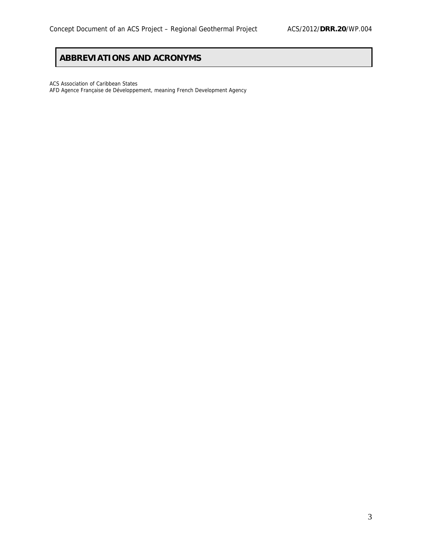# **ABBREVIATIONS AND ACRONYMS**

ACS Association of Caribbean States

AFD Agence Française de Développement, meaning French Development Agency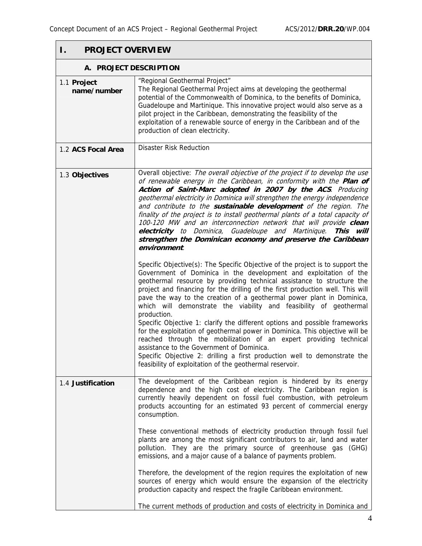| Ι.<br><b>PROJECT OVERVIEW</b> |                                                                                                                                                                                                                                                                                                                                                                                                                                                                                                                                                                                                                                                                                                                                                                                                                                                                                                         |  |  |  |  |  |  |
|-------------------------------|---------------------------------------------------------------------------------------------------------------------------------------------------------------------------------------------------------------------------------------------------------------------------------------------------------------------------------------------------------------------------------------------------------------------------------------------------------------------------------------------------------------------------------------------------------------------------------------------------------------------------------------------------------------------------------------------------------------------------------------------------------------------------------------------------------------------------------------------------------------------------------------------------------|--|--|--|--|--|--|
| A. PROJECT DESCRIPTION        |                                                                                                                                                                                                                                                                                                                                                                                                                                                                                                                                                                                                                                                                                                                                                                                                                                                                                                         |  |  |  |  |  |  |
| 1.1 Project<br>name/number    | "Regional Geothermal Project"<br>The Regional Geothermal Project aims at developing the geothermal<br>potential of the Commonwealth of Dominica, to the benefits of Dominica,<br>Guadeloupe and Martinique. This innovative project would also serve as a<br>pilot project in the Caribbean, demonstrating the feasibility of the<br>exploitation of a renewable source of energy in the Caribbean and of the<br>production of clean electricity.                                                                                                                                                                                                                                                                                                                                                                                                                                                       |  |  |  |  |  |  |
| 1.2 ACS Focal Area            | <b>Disaster Risk Reduction</b>                                                                                                                                                                                                                                                                                                                                                                                                                                                                                                                                                                                                                                                                                                                                                                                                                                                                          |  |  |  |  |  |  |
| 1.3 Objectives                | Overall objective: The overall objective of the project if to develop the use<br>of renewable energy in the Caribbean, in conformity with the Plan of<br>Action of Saint-Marc adopted in 2007 by the ACS. Producing<br>geothermal electricity in Dominica will strengthen the energy independence<br>and contribute to the sustainable development of the region. The<br>finality of the project is to install geothermal plants of a total capacity of<br>100-120 MW and an interconnection network that will provide clean<br>electricity to Dominica, Guadeloupe and Martinique. This will<br>strengthen the Dominican economy and preserve the Caribbean<br>environment.                                                                                                                                                                                                                            |  |  |  |  |  |  |
|                               | Specific Objective(s): The Specific Objective of the project is to support the<br>Government of Dominica in the development and exploitation of the<br>geothermal resource by providing technical assistance to structure the<br>project and financing for the drilling of the first production well. This will<br>pave the way to the creation of a geothermal power plant in Dominica,<br>which will demonstrate the viability and feasibility of geothermal<br>production.<br>Specific Objective 1: clarify the different options and possible frameworks<br>for the exploitation of geothermal power in Dominica. This objective will be<br>reached through the mobilization of an expert providing technical<br>assistance to the Government of Dominica.<br>Specific Objective 2: drilling a first production well to demonstrate the<br>feasibility of exploitation of the geothermal reservoir. |  |  |  |  |  |  |
| 1.4 Justification             | The development of the Caribbean region is hindered by its energy<br>dependence and the high cost of electricity. The Caribbean region is<br>currently heavily dependent on fossil fuel combustion, with petroleum<br>products accounting for an estimated 93 percent of commercial energy<br>consumption.                                                                                                                                                                                                                                                                                                                                                                                                                                                                                                                                                                                              |  |  |  |  |  |  |
|                               | These conventional methods of electricity production through fossil fuel<br>plants are among the most significant contributors to air, land and water<br>pollution. They are the primary source of greenhouse gas (GHG)<br>emissions, and a major cause of a balance of payments problem.                                                                                                                                                                                                                                                                                                                                                                                                                                                                                                                                                                                                               |  |  |  |  |  |  |
|                               | Therefore, the development of the region requires the exploitation of new<br>sources of energy which would ensure the expansion of the electricity<br>production capacity and respect the fragile Caribbean environment.<br>The current methods of production and costs of electricity in Dominica and                                                                                                                                                                                                                                                                                                                                                                                                                                                                                                                                                                                                  |  |  |  |  |  |  |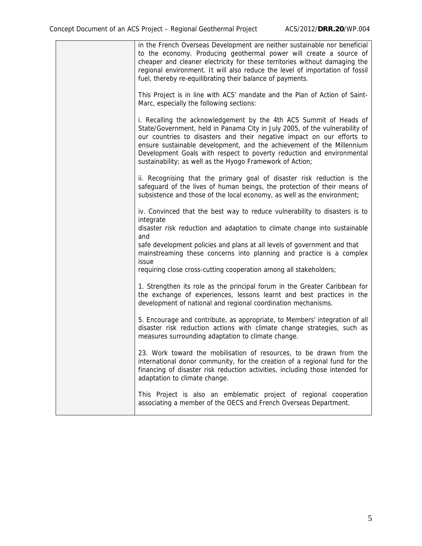| in the French Overseas Development are neither sustainable nor beneficial<br>to the economy. Producing geothermal power will create a source of<br>cheaper and cleaner electricity for these territories without damaging the<br>regional environment. It will also reduce the level of importation of fossil<br>fuel, thereby re-equilibrating their balance of payments.                                                                 |
|--------------------------------------------------------------------------------------------------------------------------------------------------------------------------------------------------------------------------------------------------------------------------------------------------------------------------------------------------------------------------------------------------------------------------------------------|
| This Project is in line with ACS' mandate and the Plan of Action of Saint-<br>Marc, especially the following sections:                                                                                                                                                                                                                                                                                                                     |
| i. Recalling the acknowledgement by the 4th ACS Summit of Heads of<br>State/Government, held in Panama City in July 2005, of the vulnerability of<br>our countries to disasters and their negative impact on our efforts to<br>ensure sustainable development, and the achievement of the Millennium<br>Development Goals with respect to poverty reduction and environmental<br>sustainability; as well as the Hyogo Framework of Action; |
| ii. Recognising that the primary goal of disaster risk reduction is the<br>safeguard of the lives of human beings, the protection of their means of<br>subsistence and those of the local economy, as well as the environment;                                                                                                                                                                                                             |
| iv. Convinced that the best way to reduce vulnerability to disasters is to<br>integrate                                                                                                                                                                                                                                                                                                                                                    |
| disaster risk reduction and adaptation to climate change into sustainable<br>and                                                                                                                                                                                                                                                                                                                                                           |
| safe development policies and plans at all levels of government and that<br>mainstreaming these concerns into planning and practice is a complex<br>issue                                                                                                                                                                                                                                                                                  |
| requiring close cross-cutting cooperation among all stakeholders;                                                                                                                                                                                                                                                                                                                                                                          |
| 1. Strengthen its role as the principal forum in the Greater Caribbean for<br>the exchange of experiences, lessons learnt and best practices in the<br>development of national and regional coordination mechanisms.                                                                                                                                                                                                                       |
| 5. Encourage and contribute, as appropriate, to Members' integration of all<br>disaster risk reduction actions with climate change strategies, such as<br>measures surrounding adaptation to climate change.                                                                                                                                                                                                                               |
| 23. Work toward the mobilisation of resources, to be drawn from the<br>international donor community, for the creation of a regional fund for the<br>financing of disaster risk reduction activities, including those intended for<br>adaptation to climate change.                                                                                                                                                                        |
| This Project is also an emblematic project of regional cooperation<br>associating a member of the OECS and French Overseas Department.                                                                                                                                                                                                                                                                                                     |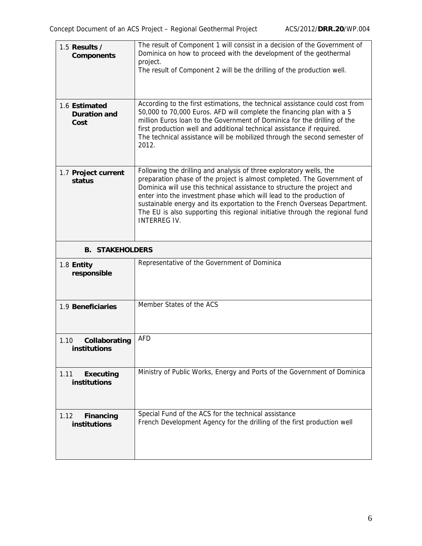| 1.5 Results $/$<br><b>Components</b>         | The result of Component 1 will consist in a decision of the Government of<br>Dominica on how to proceed with the development of the geothermal<br>project.<br>The result of Component 2 will be the drilling of the production well.                                                                                                                                                                                                                                                   |
|----------------------------------------------|----------------------------------------------------------------------------------------------------------------------------------------------------------------------------------------------------------------------------------------------------------------------------------------------------------------------------------------------------------------------------------------------------------------------------------------------------------------------------------------|
| 1.6 Estimated<br><b>Duration and</b><br>Cost | According to the first estimations, the technical assistance could cost from<br>50,000 to 70,000 Euros. AFD will complete the financing plan with a 5<br>million Euros loan to the Government of Dominica for the drilling of the<br>first production well and additional technical assistance if required.<br>The technical assistance will be mobilized through the second semester of<br>2012.                                                                                      |
| 1.7 Project current<br>status                | Following the drilling and analysis of three exploratory wells, the<br>preparation phase of the project is almost completed. The Government of<br>Dominica will use this technical assistance to structure the project and<br>enter into the investment phase which will lead to the production of<br>sustainable energy and its exportation to the French Overseas Department.<br>The EU is also supporting this regional initiative through the regional fund<br><b>INTERREG IV.</b> |
| <b>B. STAKEHOLDERS</b>                       |                                                                                                                                                                                                                                                                                                                                                                                                                                                                                        |
| 1.8 Entity<br>responsible                    | Representative of the Government of Dominica                                                                                                                                                                                                                                                                                                                                                                                                                                           |
| 1.9 Beneficiaries                            | Member States of the ACS                                                                                                                                                                                                                                                                                                                                                                                                                                                               |
| 1.10<br>Collaborating<br>institutions        | <b>AFD</b>                                                                                                                                                                                                                                                                                                                                                                                                                                                                             |
| 1.11<br><b>Executing</b><br>institutions     | Ministry of Public Works, Energy and Ports of the Government of Dominica                                                                                                                                                                                                                                                                                                                                                                                                               |
| 1.12<br>Financing<br>institutions            | Special Fund of the ACS for the technical assistance<br>French Development Agency for the drilling of the first production well                                                                                                                                                                                                                                                                                                                                                        |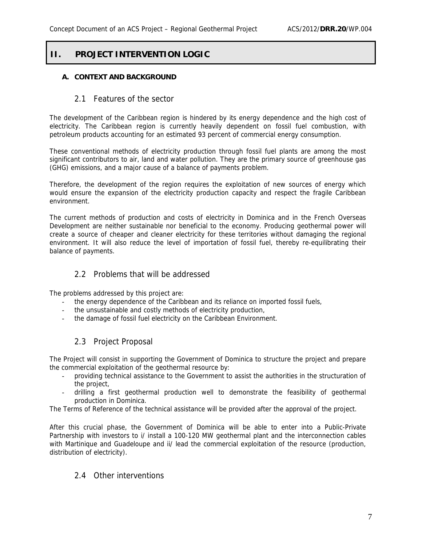## **II. PROJECT INTERVENTION LOGIC**

#### **A. CONTEXT AND BACKGROUND**

#### 2.1 Features of the sector

The development of the Caribbean region is hindered by its energy dependence and the high cost of electricity. The Caribbean region is currently heavily dependent on fossil fuel combustion, with petroleum products accounting for an estimated 93 percent of commercial energy consumption.

These conventional methods of electricity production through fossil fuel plants are among the most significant contributors to air, land and water pollution. They are the primary source of greenhouse gas (GHG) emissions, and a major cause of a balance of payments problem.

Therefore, the development of the region requires the exploitation of new sources of energy which would ensure the expansion of the electricity production capacity and respect the fragile Caribbean environment.

The current methods of production and costs of electricity in Dominica and in the French Overseas Development are neither sustainable nor beneficial to the economy. Producing geothermal power will create a source of cheaper and cleaner electricity for these territories without damaging the regional environment. It will also reduce the level of importation of fossil fuel, thereby re-equilibrating their balance of payments.

#### 2.2 Problems that will be addressed

The problems addressed by this project are:

- the energy dependence of the Caribbean and its reliance on imported fossil fuels,
- the unsustainable and costly methods of electricity production,
- the damage of fossil fuel electricity on the Caribbean Environment.

#### 2.3 Project Proposal

The Project will consist in supporting the Government of Dominica to structure the project and prepare the commercial exploitation of the geothermal resource by:

- providing technical assistance to the Government to assist the authorities in the structuration of the project,
- drilling a first geothermal production well to demonstrate the feasibility of geothermal production in Dominica.

The Terms of Reference of the technical assistance will be provided after the approval of the project.

After this crucial phase, the Government of Dominica will be able to enter into a Public-Private Partnership with investors to i/ install a 100-120 MW geothermal plant and the interconnection cables with Martinique and Guadeloupe and ii/ lead the commercial exploitation of the resource (production, distribution of electricity).

#### 2.4 Other interventions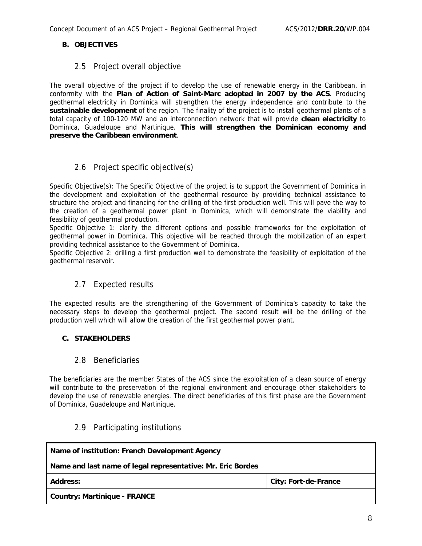#### **B. OBJECTIVES**

#### 2.5 Project overall objective

The overall objective of the project if to develop the use of renewable energy in the Caribbean, in conformity with the **Plan of Action of Saint-Marc adopted in 2007 by the ACS**. Producing geothermal electricity in Dominica will strengthen the energy independence and contribute to the **sustainable development** of the region. The finality of the project is to install geothermal plants of a total capacity of 100-120 MW and an interconnection network that will provide **clean electricity** to Dominica, Guadeloupe and Martinique. **This will strengthen the Dominican economy and preserve the Caribbean environment**.

#### 2.6 Project specific objective(s)

Specific Objective(s): The Specific Objective of the project is to support the Government of Dominica in the development and exploitation of the geothermal resource by providing technical assistance to structure the project and financing for the drilling of the first production well. This will pave the way to the creation of a geothermal power plant in Dominica, which will demonstrate the viability and feasibility of geothermal production.

Specific Objective 1: clarify the different options and possible frameworks for the exploitation of geothermal power in Dominica. This objective will be reached through the mobilization of an expert providing technical assistance to the Government of Dominica.

Specific Objective 2: drilling a first production well to demonstrate the feasibility of exploitation of the geothermal reservoir.

#### 2.7 Expected results

The expected results are the strengthening of the Government of Dominica's capacity to take the necessary steps to develop the geothermal project. The second result will be the drilling of the production well which will allow the creation of the first geothermal power plant.

#### **C. STAKEHOLDERS**

#### 2.8 Beneficiaries

The beneficiaries are the member States of the ACS since the exploitation of a clean source of energy will contribute to the preservation of the regional environment and encourage other stakeholders to develop the use of renewable energies. The direct beneficiaries of this first phase are the Government of Dominica, Guadeloupe and Martinique.

#### 2.9 Participating institutions

| Name of institution: French Development Agency              |                             |  |  |  |  |
|-------------------------------------------------------------|-----------------------------|--|--|--|--|
| Name and last name of legal representative: Mr. Eric Bordes |                             |  |  |  |  |
| <b>Address:</b>                                             | <b>City: Fort-de-France</b> |  |  |  |  |
| Country: Martinique - FRANCE                                |                             |  |  |  |  |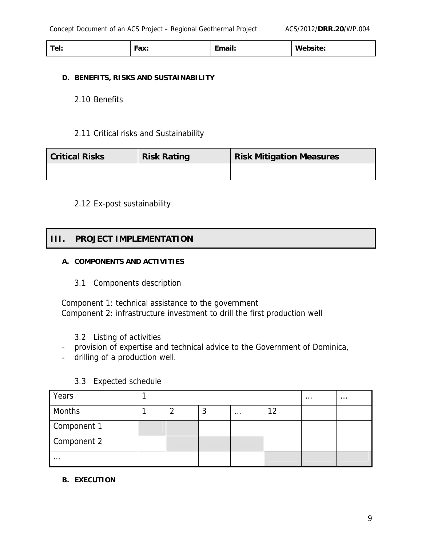| --<br>$\sim$<br>1C1. | .nv<br>I av. | i Tarri<br>чан.<br>---<br>________ | w<br>website: |
|----------------------|--------------|------------------------------------|---------------|
|                      |              |                                    |               |

#### **D. BENEFITS, RISKS AND SUSTAINABILITY**

2.10 Benefits

#### 2.11 Critical risks and Sustainability

| <b>Critical Risks</b> | <b>Risk Rating</b> | <b>Risk Mitigation Measures</b> |
|-----------------------|--------------------|---------------------------------|
|                       |                    |                                 |

#### 2.12 Ex-post sustainability

## **III. PROJECT IMPLEMENTATION**

#### **A. COMPONENTS AND ACTIVITIES**

3.1 Components description

Component 1: technical assistance to the government Component 2: infrastructure investment to drill the first production well

- 3.2 Listing of activities
- provision of expertise and technical advice to the Government of Dominica,
- drilling of a production well.

| Years       |  |   |          |  | $\cdots$ | $\cdots$ |
|-------------|--|---|----------|--|----------|----------|
| Months      |  | w | $\cdots$ |  |          |          |
| Component 1 |  |   |          |  |          |          |
| Component 2 |  |   |          |  |          |          |
| $\cdots$    |  |   |          |  |          |          |

#### 3.3 Expected schedule

#### **B. EXECUTION**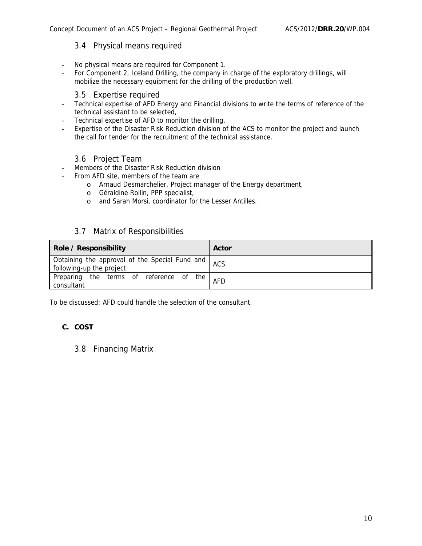#### 3.4 Physical means required

- No physical means are required for Component 1.
- For Component 2, Iceland Drilling, the company in charge of the exploratory drillings, will mobilize the necessary equipment for the drilling of the production well.

#### 3.5 Expertise required

- Technical expertise of AFD Energy and Financial divisions to write the terms of reference of the technical assistant to be selected,
- Technical expertise of AFD to monitor the drilling,
- Expertise of the Disaster Risk Reduction division of the ACS to monitor the project and launch the call for tender for the recruitment of the technical assistance.

#### 3.6 Project Team

- Members of the Disaster Risk Reduction division
- From AFD site, members of the team are
	- o Arnaud Desmarchelier, Project manager of the Energy department,
	- o Géraldine Rollin, PPP specialist,
	- o and Sarah Morsi, coordinator for the Lesser Antilles.

#### 3.7 Matrix of Responsibilities

| Role / Responsibility                                                          | Actor |
|--------------------------------------------------------------------------------|-------|
| Obtaining the approval of the Special Fund and ACS<br>following-up the project |       |
| Preparing the terms of reference of the<br>consultant                          | AFD   |

To be discussed: AFD could handle the selection of the consultant.

#### **C. COST**

#### 3.8 Financing Matrix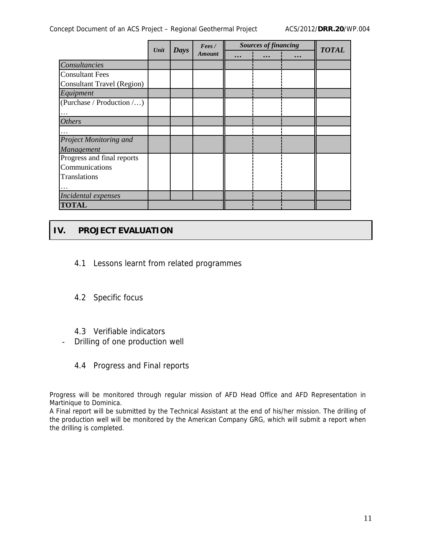Concept Document of an ACS Project – Regional Geothermal Project ACS/2012/**DRR.20**/WP.004

|                                   | Unit | <b>Days</b> | Fees/         | <b>Sources of financing</b> |           |           | <b>TOTAL</b> |
|-----------------------------------|------|-------------|---------------|-----------------------------|-----------|-----------|--------------|
|                                   |      |             | <b>Amount</b> | $\ddotsc$                   | $\ddotsc$ | $\ddotsc$ |              |
| Consultancies                     |      |             |               |                             |           |           |              |
| <b>Consultant Fees</b>            |      |             |               |                             |           |           |              |
| <b>Consultant Travel (Region)</b> |      |             |               |                             |           |           |              |
| Equipment                         |      |             |               |                             |           |           |              |
| (Purchase / Production $\ldots$ ) |      |             |               |                             |           |           |              |
|                                   |      |             |               |                             |           |           |              |
| <b>Others</b>                     |      |             |               |                             |           |           |              |
|                                   |      |             |               |                             |           |           |              |
| <b>Project Monitoring and</b>     |      |             |               |                             |           |           |              |
| Management                        |      |             |               |                             |           |           |              |
| Progress and final reports        |      |             |               |                             |           |           |              |
| Communications                    |      |             |               |                             |           |           |              |
| Translations                      |      |             |               |                             |           |           |              |
|                                   |      |             |               |                             |           |           |              |
| Incidental expenses               |      |             |               |                             |           |           |              |
| <b>TOTAL</b>                      |      |             |               |                             |           |           |              |

# **IV. PROJECT EVALUATION**

- 4.1 Lessons learnt from related programmes
- 4.2 Specific focus
- 4.3 Verifiable indicators
- Drilling of one production well
	- 4.4 Progress and Final reports

Progress will be monitored through regular mission of AFD Head Office and AFD Representation in Martinique to Dominica.

A Final report will be submitted by the Technical Assistant at the end of his/her mission. The drilling of the production well will be monitored by the American Company GRG, which will submit a report when the drilling is completed.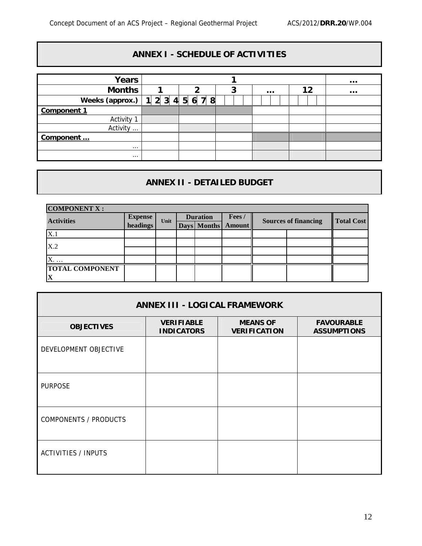# **ANNEX I - SCHEDULE OF ACTIVITIES**

| <b>Years</b>         |       |             |   |          |    |          |  |
|----------------------|-------|-------------|---|----------|----|----------|--|
| <b>Months</b>        |       | 2           | 3 | $\cdots$ | 12 | $\cdots$ |  |
| Weeks (approx.)      | 12345 | 7<br>8<br>6 |   |          |    |          |  |
| <b>Component 1</b>   |       |             |   |          |    |          |  |
| Activity             |       |             |   |          |    |          |  |
| Activity<br>$\cdots$ |       |             |   |          |    |          |  |
| Component            |       |             |   |          |    |          |  |
| $\cdots$             |       |             |   |          |    |          |  |
| $\cdots$             |       |             |   |          |    |          |  |

# **ANNEX II - DETAILED BUDGET**

| <b>COMPONENT X:</b>          |                            |      |  |                                |                        |                             |  |                   |
|------------------------------|----------------------------|------|--|--------------------------------|------------------------|-----------------------------|--|-------------------|
| <b>Activities</b>            | <b>Expense</b><br>headings | Unit |  | <b>Duration</b><br>Days Months | Fees/<br><b>Amount</b> | <b>Sources of financing</b> |  | <b>Total Cost</b> |
| X.1                          |                            |      |  |                                |                        |                             |  |                   |
| X.2                          |                            |      |  |                                |                        |                             |  |                   |
|                              |                            |      |  |                                |                        |                             |  |                   |
| X.<br><b>TOTAL COMPONENT</b> |                            |      |  |                                |                        |                             |  |                   |
|                              |                            |      |  |                                |                        |                             |  |                   |

| <b>ANNEX III - LOGICAL FRAMEWORK</b> |                                        |                                        |                                         |  |  |  |  |  |
|--------------------------------------|----------------------------------------|----------------------------------------|-----------------------------------------|--|--|--|--|--|
| <b>OBJECTIVES</b>                    | <b>VERIFIABLE</b><br><b>INDICATORS</b> | <b>MEANS OF</b><br><b>VERIFICATION</b> | <b>FAVOURABLE</b><br><b>ASSUMPTIONS</b> |  |  |  |  |  |
| DEVELOPMENT OBJECTIVE                |                                        |                                        |                                         |  |  |  |  |  |
| <b>PURPOSE</b>                       |                                        |                                        |                                         |  |  |  |  |  |
| <b>COMPONENTS / PRODUCTS</b>         |                                        |                                        |                                         |  |  |  |  |  |
| <b>ACTIVITIES / INPUTS</b>           |                                        |                                        |                                         |  |  |  |  |  |